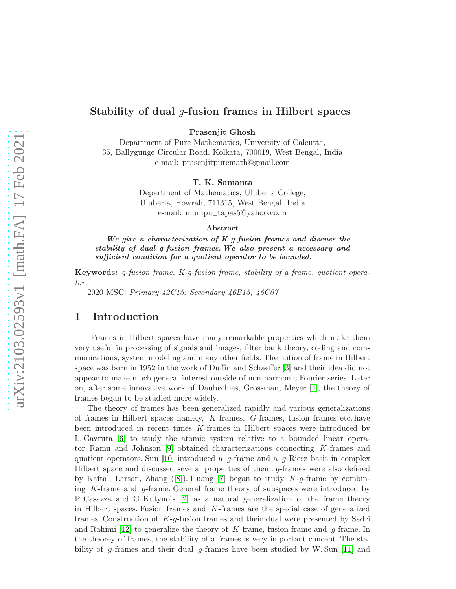Prasenjit Ghosh

Department of Pure Mathematics, University of Calcutta, 35, Ballygunge Circular Road, Kolkata, 700019, West Bengal, India e-mail: prasenjitpuremath@gmail.com

#### T. K. Samanta

Department of Mathematics, Uluberia College, Uluberia, Howrah, 711315, West Bengal, India e-mail: mumpu−tapas5@yahoo.co.in

#### Abstract

We give a characterization of K-g-fusion frames and discuss the stability of dual g-fusion frames. We also present a necessary and sufficient condition for a quotient operator to be bounded.

Keywords: *g-fusion frame, K-g-fusion frame, stability of a frame, quotient operator.*

2020 MSC: *Primary 42C15; Secondary 46B15, 46C07.*

### 1 Introduction

Frames in Hilbert spaces have many remarkable properties which make them very useful in processing of signals and images, filter bank theory, coding and communications, system modeling and many other fields. The notion of frame in Hilbert space was born in 1952 in the work of Duffin and Schaeffer [\[3\]](#page-16-0) and their idea did not appear to make much general interest outside of non-harmonic Fourier series. Later on, after some innovative work of Daubechies, Grossman, Meyer [\[4\]](#page-16-1), the theory of frames began to be studied more widely.

The theory of frames has been generalized rapidly and various generalizations of frames in Hilbert spaces namely, K-frames, G-frames, fusion frames etc. have been introduced in recent times. K-frames in Hilbert spaces were introduced by L. Gavruta [\[6\]](#page-17-0) to study the atomic system relative to a bounded linear operator. Ramu and Johnson [\[9\]](#page-17-1) obtained characterizations connecting K-frames and quotient operators. Sun [\[10\]](#page-17-2) introduced a  $q$ -frame and a  $q$ -Riesz basis in complex Hilbert space and discussed several properties of them. g-frames were also defined byKaftal, Larson, Zhang  $(8)$ . Huang [\[7\]](#page-17-4) began to study K-g-frame by combining K-frame and g-frame. General frame theory of subspaces were introduced by P. Casazza and G. Kutynoik [\[2\]](#page-16-2) as a natural generalization of the frame theory in Hilbert spaces. Fusion frames and K-frames are the special case of generalized frames. Construction of K-g-fusion frames and their dual were presented by Sadri and Rahimi [\[12\]](#page-17-5) to generalize the theory of K-frame, fusion frame and  $q$ -frame. In the theorey of frames, the stability of a frames is very important concept. The sta-bility of g-frames and their dual g-frames have been studied by W. Sun [\[11\]](#page-17-6) and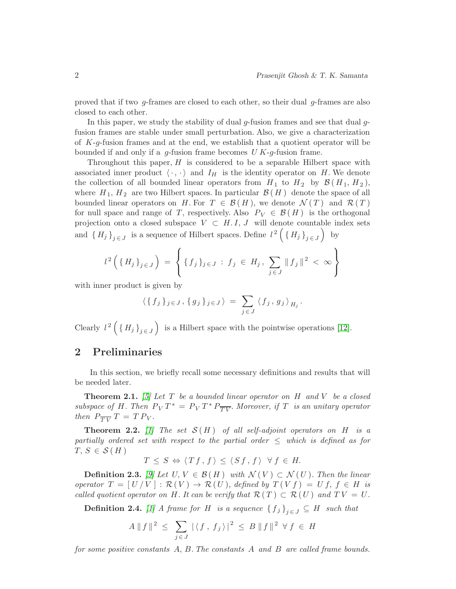proved that if two g-frames are closed to each other, so their dual g-frames are also closed to each other.

In this paper, we study the stability of dual  $g$ -fusion frames and see that dual  $g$ fusion frames are stable under small perturbation. Also, we give a characterization of  $K-g$ -fusion frames and at the end, we establish that a quotient operator will be bounded if and only if a  $q$ -fusion frame becomes U  $K-q$ -fusion frame.

Throughout this paper,  $H$  is considered to be a separable Hilbert space with associated inner product  $\langle \cdot, \cdot \rangle$  and  $I_H$  is the identity operator on H. We denote the collection of all bounded linear operators from  $H_1$  to  $H_2$  by  $\mathcal{B}(H_1, H_2)$ , where  $H_1, H_2$  are two Hilbert spaces. In particular  $\mathcal{B}(H)$  denote the space of all bounded linear operators on H. For  $T \in \mathcal{B}(H)$ , we denote  $\mathcal{N}(T)$  and  $\mathcal{R}(T)$ for null space and range of T, respectively. Also  $P_V \in \mathcal{B}(H)$  is the orthogonal projection onto a closed subspace  $V \subset H.I, J$  will denote countable index sets and  ${H_j}_{j \in J}$  is a sequence of Hilbert spaces. Define  $l^2\left({H_j}_{j \in J}\right)$  by

$$
l^{2} \left( \{ H_{j} \}_{j \in J} \right) = \left\{ \{ f_{j} \}_{j \in J} : f_{j} \in H_{j}, \sum_{j \in J} \| f_{j} \|^{2} < \infty \right\}
$$

with inner product is given by

$$
\langle \{f_j\}_j \in J, \{g_j\}_j \in J \rangle \ = \ \sum_{j \in J} \langle f_j, g_j \rangle_{H_j}.
$$

Clearly  $l^2\left(\lbrace H_j \rbrace_{j\in J}\right)$  is a Hilbert space with the pointwise operations [\[12\]](#page-17-5).

### 2 Preliminaries

In this section, we briefly recall some necessary definitions and results that will be needed later.

<span id="page-1-1"></span>Theorem 2.1. *[\[5\]](#page-16-3) Let* T *be a bounded linear operator on* H *and* V *be a closed subspace of H. Then*  $P_V T^* = P_V T^* P_{\overline{TV}}$ . Moreover, if T *is an unitary operator then*  $P_{\overline{TV}} T = T P_V$ .

<span id="page-1-0"></span>**Theorem 2.2.** *[\[1\]](#page-16-4)* The set  $S(H)$  of all self-adjoint operators on H is a *partially ordered set with respect to the partial order* ≤ *which is defined as for*  $T, S \in \mathcal{S}(H)$ 

$$
T \leq S \Leftrightarrow \langle Tf, f \rangle \leq \langle Sf, f \rangle \ \forall f \in H.
$$

**Definition 2.3.** *[\[9\]](#page-17-1) Let U*, *V* ∈  $\mathcal{B}(H)$  *with*  $\mathcal{N}(V) \subset \mathcal{N}(U)$ *. Then the linear operator*  $T = [ U / V ] : \mathcal{R}(V) \to \mathcal{R}(U)$ *, defined by*  $T(V f) = U f$ ,  $f \in H$  *is called quotient operator on* H. It can be verify that  $\mathcal{R}(T) \subset \mathcal{R}(U)$  and  $TV = U$ .

**Definition 2.4.** *[\[1\]](#page-16-4) A* frame for H is a sequence  ${f_j}_{j \in J} \subseteq H$  such that

$$
A \| f \|^2 \le \sum_{j \in J} |\langle f, f_j \rangle|^2 \le B \| f \|^2 \ \forall f \in H
$$

*for some positive constants* A, B*. The constants* A *and* B *are called frame bounds.*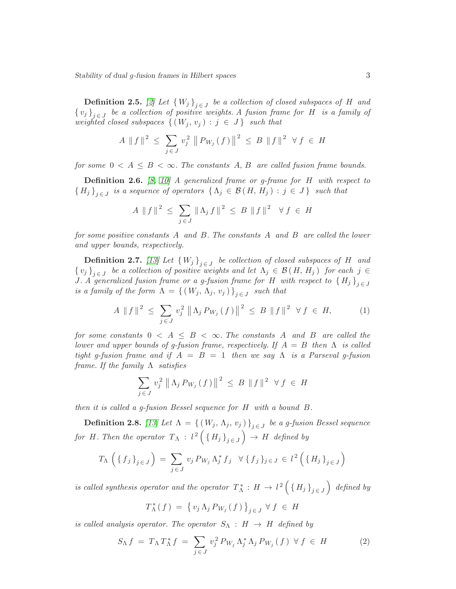**Definition 2.5.** [\[2\]](#page-16-2) Let  $\{W_j\}_{j \in J}$  be a collection of closed subspaces of H and  $\{v_j\}_{j \in J}$  be a collection of positive weights. A fusion frame for H is a family of *weighted closed subspaces*  $\{(W_j, v_j) : j \in J\}$  *such that* 

$$
A \| f \|^2 \leq \sum_{j \in J} v_j^2 \| P_{W_j}(f) \|^2 \leq B \| f \|^2 \ \forall f \in H
$$

*for some*  $0 < A \leq B < \infty$ *. The constants* A, B are called fusion frame bounds.

Definition 2.6. *[\[8,](#page-17-3) [10\]](#page-17-2) A generalized frame or g-frame for* H *with respect to*  ${H_j}_{j \in J}$  is a sequence of operators  $\{\Lambda_j \in \mathcal{B}(H, H_j) : j \in J\}$  such that

$$
A \| f \|^2 \le \sum_{j \in J} \| \Lambda_j f \|^2 \le B \| f \|^2 \ \forall f \in H
$$

*for some positive constants* A *and* B*. The constants* A *and* B *are called the lower and upper bounds, respectively.*

**Definition 2.7.** *[\[13\]](#page-17-7)* Let  $\{W_j\}_{j \in J}$  be collection of closed subspaces of H and  $\{v_j\}_{j \in J}$  be a collection of positive weights and let  $\Lambda_j \in \mathcal{B}(H, H_j)$  for each  $j \in J$ *J.* A generalized fusion frame or a g-fusion frame for H with respect to  $\{H_j\}_{j \in J}$ *is a family of the form*  $\Lambda = \{ (W_j, \Lambda_j, v_j) \}_{j \in J}$  such that

<span id="page-2-0"></span>
$$
A \|f\|^{2} \leq \sum_{j \in J} v_{j}^{2} \| \Lambda_{j} P_{W_{j}}(f) \|^{2} \leq B \|f\|^{2} \ \forall f \in H,
$$
 (1)

*for some constants*  $0 \lt A \leq B \lt \infty$ . The constants A and B are called the *lower and upper bounds of g-fusion frame, respectively. If* A = B *then* Λ *is called tight g-fusion frame and if* A = B = 1 *then we say* Λ *is a Parseval g-fusion frame. If the family* Λ *satisfies*

$$
\sum_{j \in J} v_j^2 \left\| \Lambda_j P_{W_j}(f) \right\|^2 \leq B \|f\|^2 \ \forall f \in H
$$

*then it is called a g-fusion Bessel sequence for* H *with a bound* B*.*

**Definition 2.8.** *[\[13\]](#page-17-7) Let*  $\Lambda = \{ (W_j, \Lambda_j, v_j) \}_{j \in J}$  *be a g-fusion Bessel sequence* for H. Then the operator  $T_{\Lambda}$  :  $l^2\left(\{H_j\}_{j\in J}\right) \rightarrow H$  defined by

$$
T_{\Lambda} \left( \{ f_j \}_{j \in J} \right) = \sum_{j \in J} v_j P_{W_j} \Lambda_j^* f_j \quad \forall \{ f_j \}_{j \in J} \in l^2 \left( \{ H_j \}_{j \in J} \right)
$$

*is called synthesis operator and the operator*  $T_{\Lambda}^*$  :  $H \to l^2 \left( \{ H_j \}_{j \in J} \right)$  defined by

$$
T_{\Lambda}^*(f) = \left\{ v_j \Lambda_j P_{W_j}(f) \right\}_{j \in J} \forall f \in H
$$

*is called analysis operator. The operator*  $S_{\Lambda} : H \rightarrow H$  *defined by* 

<span id="page-2-1"></span>
$$
S_{\Lambda} f = T_{\Lambda} T_{\Lambda}^* f = \sum_{j \in J} v_j^2 P_{W_j} \Lambda_j^* \Lambda_j P_{W_j} (f) \ \forall f \in H \tag{2}
$$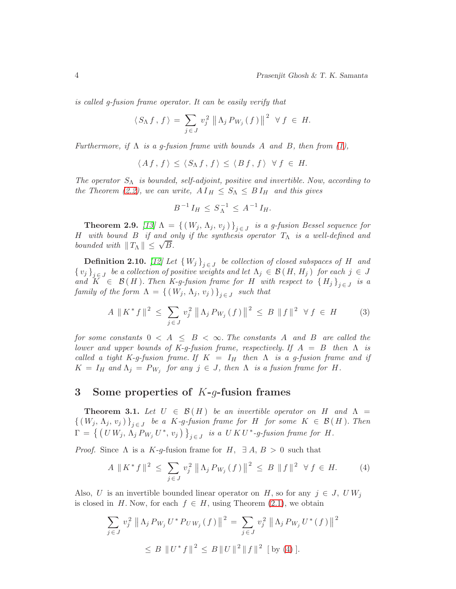*is called g-fusion frame operator. It can be easily verify that*

$$
\langle S_{\Lambda} f, f \rangle = \sum_{j \in J} v_j^2 \left\| \Lambda_j P_{W_j}(f) \right\|^2 \ \forall f \in H.
$$

*Furthermore, if* Λ *is a g-fusion frame with bounds* A *and* B*, then from [\(1\)](#page-2-0),*

$$
\langle Af, f \rangle \le \langle S_{\Lambda} f, f \rangle \le \langle B f, f \rangle \ \forall f \in H.
$$

*The operator* SΛ *is bounded, self-adjoint, positive and invertible. Now, according to the Theorem* [\(2.2\)](#page-1-0), we can write,  $A I_H \leq S_\Lambda \leq B I_H$  and this gives

$$
B^{-1} I_H \leq S_{\Lambda}^{-1} \leq A^{-1} I_H.
$$

<span id="page-3-1"></span>**Theorem 2.9.** *[\[13\]](#page-17-7)*  $\Lambda = \{ (W_j, \Lambda_j, v_j) \}_{j \in J}$  *is a g-fusion Bessel sequence for* H *with bound* B *if and only if the synthesis operator* TΛ *is a well-defined and bounded with*  $||T_{\Lambda}|| \leq \sqrt{B}$ .

**Definition 2.10.** *[\[12\]](#page-17-5)* Let  $\{W_j\}_{j \in J}$  be collection of closed subspaces of H and  $\{v_j\}_{j\in J}$  be a collection of positive weights and let  $\Lambda_j \in \mathcal{B}(H, H_j)$  for each  $j \in J$ *and*  $K \in \mathcal{B}(H)$ *. Then* K-g-fusion frame for H with respect to  $\{H_j\}_{j \in J}$  is a  $family of the form \Lambda = \{ (W_j, \Lambda_j, v_j) \}_{j \in J}$  such that

$$
A \| K^* f \| ^2 \le \sum_{j \in J} v_j^2 \| \Lambda_j P_{W_j}(f) \|^2 \le B \| f \| ^2 \ \forall f \in H \tag{3}
$$

*for some constants*  $0 < A \leq B < \infty$ . The constants A and B are called the *lower and upper bounds of K-g-fusion frame, respectively. If* A = B *then* Λ *is called a tight K-g-fusion frame. If*  $K = I_H$  *then*  $\Lambda$  *is a g-fusion frame and if*  $K = I_H$  and  $\Lambda_j = P_{W_j}$  for any  $j \in J$ , then  $\Lambda$  is a fusion frame for  $H$ .

#### 3 Some properties of  $K-g$ -fusion frames

**Theorem 3.1.** Let  $U \in \mathcal{B}(H)$  be an invertible operator on H and  $\Lambda$  $\{(W_j, \Lambda_j, v_j)\}_{j \in J}$  be a K-g-fusion frame for H for some  $K \in \mathcal{B}(H)$ . Then  $\Gamma = \{ (U W_j, \Lambda_j P_{W_j} U^*, v_j) \}_{j \in J}$  is a  $U K U^*$ -g-fusion frame for  $H$ .

*Proof.* Since  $\Lambda$  is a K-g-fusion frame for  $H$ ,  $\exists A, B > 0$  such that

<span id="page-3-0"></span>
$$
A \| K^* f \|^2 \leq \sum_{j \in J} v_j^2 \| \Lambda_j P_{W_j}(f) \|^2 \leq B \| f \|^2 \ \forall f \in H. \tag{4}
$$

 $\overline{2}$ 

Also, U is an invertible bounded linear operator on H, so for any  $j \in J$ , UW<sub>i</sub> is closed in H. Now, for each  $f \in H$ , using Theorem [\(2.1\)](#page-1-1), we obtain

$$
\sum_{j \in J} v_j^2 \|\Lambda_j P_{W_j} U^* P_{U W_j}(f)\|^2 = \sum_{j \in J} v_j^2 \|\Lambda_j P_{W_j} U^*(f)\|
$$
  

$$
\leq B \||U^* f\|^2 \leq B ||U||^2 ||f||^2 [ \text{by (4)}].
$$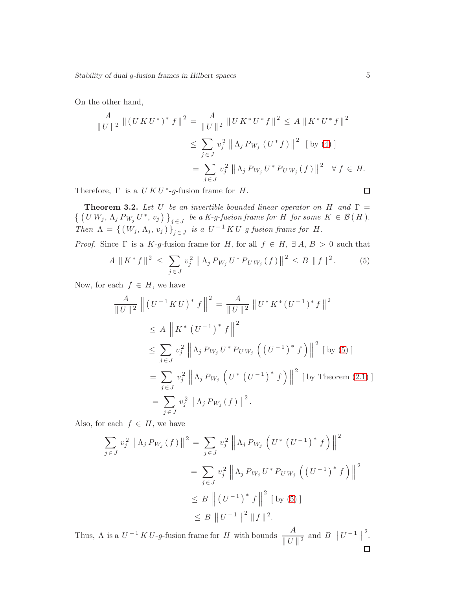On the other hand,

$$
\frac{A}{\|U\|^2} \|(U K U^*)^* f\|^2 = \frac{A}{\|U\|^2} \|U K^* U^* f\|^2 \le A \|K^* U^* f\|^2
$$
  

$$
\le \sum_{j \in J} v_j^2 \| \Lambda_j P_{W_j} (U^* f) \|^2 \text{ [by (4)]}
$$
  

$$
= \sum_{j \in J} v_j^2 \| \Lambda_j P_{W_j} U^* P_{U W_j} (f) \|^2 \quad \forall f \in H.
$$
  
efore,  $\Gamma$  is a  $U K U^* {\text{-}q}$ -fusion frame for  $H$ .

Therefore,  $\Gamma$  is a  $UKU^*$ -g-fusion frame for  $H$ .

**Theorem 3.2.** Let U be an invertible bounded linear operator on H and  $\Gamma$  =  $\{ (U W_j, \Lambda_j P_{W_j} U^*, v_j) \}_{j \in J}$  be a K-g-fusion frame for H for some  $K \in \mathcal{B}(H)$ . *Then*  $\Lambda = \{ (W_j, \Lambda_j, v_j) \}_{j \in J}$  *is a*  $U^{-1} K U$ -g-fusion frame for H.

*Proof.* Since  $\Gamma$  is a K-g-fusion frame for H, for all  $f \in H$ ,  $\exists A, B > 0$  such that

<span id="page-4-0"></span>
$$
A \| K^* f \|^2 \leq \sum_{j \in J} v_j^2 \| \Lambda_j P_{W_j} U^* P_{U W_j} (f) \|^2 \leq B \| f \|^2.
$$
 (5)

Now, for each  $f \in H$ , we have

$$
\frac{A}{\|U\|^2} \left\| (U^{-1} K U)^* f \right\|^2 = \frac{A}{\|U\|^2} \| U^* K^* (U^{-1})^* f \|^2
$$
  
\n
$$
\leq A \left\| K^* (U^{-1})^* f \right\|^2
$$
  
\n
$$
\leq \sum_{j \in J} v_j^2 \left\| \Lambda_j P_{W_j} U^* P_{U W_j} \left( (U^{-1})^* f \right) \right\|^2 [\text{ by (5)}]
$$
  
\n
$$
= \sum_{j \in J} v_j^2 \left\| \Lambda_j P_{W_j} \left( U^* (U^{-1})^* f \right) \right\|^2 [\text{ by Theorem (2.1)}]
$$
  
\n
$$
= \sum_{j \in J} v_j^2 \left\| \Lambda_j P_{W_j} (f) \right\|^2.
$$

Also, for each  $f \in H$ , we have

$$
\sum_{j \in J} v_j^2 \left\| \Lambda_j P_{W_j}(f) \right\|^2 = \sum_{j \in J} v_j^2 \left\| \Lambda_j P_{W_j} \left( U^* \left( U^{-1} \right)^* f \right) \right\|^2
$$
  

$$
= \sum_{j \in J} v_j^2 \left\| \Lambda_j P_{W_j} U^* P_{U W_j} \left( \left( U^{-1} \right)^* f \right) \right\|^2
$$
  

$$
\leq B \left\| \left( U^{-1} \right)^* f \right\|^2 \left[ \text{ by (5)} \right]
$$
  

$$
\leq B \left\| U^{-1} \right\|^2 \| f \|^2.
$$

Thus,  $\Lambda$  is a  $U^{-1} K U$ -g-fusion frame for H with bounds  $\frac{A}{\mu H}$ 2 . $\frac{A}{\|U\|^2}$  and  $B \|U^{-1}\|$  $\Box$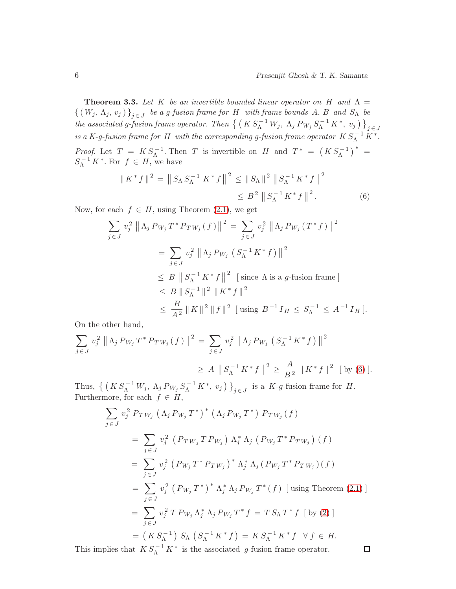<span id="page-5-1"></span>**Theorem 3.3.** Let K be an invertible bounded linear operator on H and  $\Lambda$  =  $\{(W_j, \Lambda_j, v_j)\}_{j \in J}$  be a g-fusion frame for H with frame bounds  $A, B$  and  $S_\Lambda$  be *the associated g-fusion frame operator. Then*  $\left\{ (K S_{\Lambda}^{-1} W_j, \Lambda_j P_{W_j} S_{\Lambda}^{-1} K^*, v_j) \right\}_{j \in J}$ *is a K-g-fusion frame for* H with the corresponding g-fusion frame operator  $K S_{\Lambda}^{-1} K^*$ . *Proof.* Let  $T = KS_{\Lambda}^{-1}$ . Then T is invertible on H and  $T^* = (KS_{\Lambda}^{-1})^* =$  $S_{\Lambda}^{-1} K^*$ . For  $f \in H$ , we have

<span id="page-5-0"></span>
$$
\|K^* f\|^2 = \|S_{\Lambda} S_{\Lambda}^{-1} K^* f\|^2 \le \|S_{\Lambda}\|^2 \|S_{\Lambda}^{-1} K^* f\|^2
$$
  
\$\le B^2 \|S\_{\Lambda}^{-1} K^\* f\|^2.\$ (6)

Now, for each  $f \in H$ , using Theorem  $(2.1)$ , we get

$$
\sum_{j \in J} v_j^2 \|\Lambda_j P_{W_j} T^* P_{TW_j}(f)\|^2 = \sum_{j \in J} v_j^2 \|\Lambda_j P_{W_j}(T^*f)\|^2
$$
  
= 
$$
\sum_{j \in J} v_j^2 \|\Lambda_j P_{W_j}(S_{\Lambda}^{-1} K^* f)\|^2
$$
  

$$
\leq B \|\, S_{\Lambda}^{-1} K^* f\|^2 \quad \text{[ since } \Lambda \text{ is a } g \text{-fusion frame }]
$$
  

$$
\leq B \|\, S_{\Lambda}^{-1}\|^2 \|\, K^* f\|^2
$$
  

$$
\leq \frac{B}{A^2} \|\, K\|^2 \|\, f\|^2 \quad \text{[ using } B^{-1} I_H \leq S_{\Lambda}^{-1} \leq A^{-1} I_H \,].
$$

On the other hand,

$$
\sum_{j \in J} v_j^2 \left\| \Lambda_j P_{W_j} T^* P_{TW_j}(f) \right\|^2 = \sum_{j \in J} v_j^2 \left\| \Lambda_j P_{W_j} \left( S_{\Lambda}^{-1} K^* f \right) \right\|^2
$$
  

$$
\geq A \left\| S_{\Lambda}^{-1} K^* f \right\|^2 \geq \frac{A}{B^2} \left\| K^* f \right\|^2 \left[ \text{by (6)} \right].
$$

Thus,  $\left\{ \left( K S_{\Lambda}^{-1} W_j, \Lambda_j P_{W_j} S_{\Lambda}^{-1} K^*, v_j \right) \right\}_{j \in J}$  is a K-g-fusion frame for H. Furthermore, for each  $f \in H$ ,

$$
\sum_{j \in J} v_j^2 P_{TW_j} (\Lambda_j P_{W_j} T^*)^* (\Lambda_j P_{W_j} T^*) P_{TW_j} (f)
$$
  
\n
$$
= \sum_{j \in J} v_j^2 (P_{TW_j} T P_{W_j}) \Lambda_j^* \Lambda_j (P_{W_j} T^* P_{TW_j}) (f)
$$
  
\n
$$
= \sum_{j \in J} v_j^2 (P_{W_j} T^* P_{TW_j})^* \Lambda_j^* \Lambda_j (P_{W_j} T^* P_{TW_j}) (f)
$$
  
\n
$$
= \sum_{j \in J} v_j^2 (P_{W_j} T^*)^* \Lambda_j^* \Lambda_j P_{W_j} T^* (f) [\text{using Theorem (2.1)}]
$$
  
\n
$$
= \sum_{j \in J} v_j^2 T P_{W_j} \Lambda_j^* \Lambda_j P_{W_j} T^* f = T S_{\Lambda} T^* f [\text{by (2)}]
$$
  
\n
$$
= (K S_{\Lambda}^{-1}) S_{\Lambda} (S_{\Lambda}^{-1} K^* f) = K S_{\Lambda}^{-1} K^* f \forall f \in H.
$$

This implies that  $KS_{\Lambda}^{-1}K^*$  is the associated g-fusion frame operator.

 $\Box$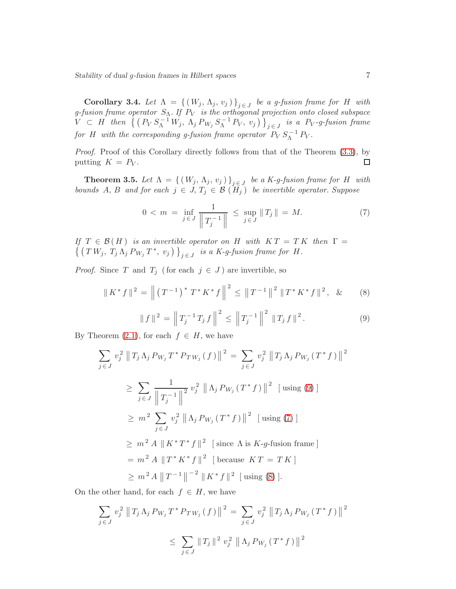Corollary 3.4. Let  $\Lambda = \{ (W_j, \Lambda_j, v_j) \}_{j \in J}$  be a g-fusion frame for H with *g-fusion frame operator* SΛ*. If* P<sup>V</sup> *is the orthogonal projection onto closed subspace*  $V \subset H$  then  $\left\{ (P_V S_{\Lambda}^{-1} W_j, \Lambda_j P_{W_j} S_{\Lambda}^{-1} P_V, v_j) \right\}_{j \in J}$  is a P<sub>V</sub>-g-fusion frame *for* H with the corresponding g-fusion frame operator  $\overline{P}_V S_N^{-1} P_V$ .

*Proof.* Proof of this Corollary directly follows from that of the Theorem  $(3.3)$ , by putting  $K = P_V$ .  $\Box$ 

<span id="page-6-3"></span>**Theorem 3.5.** Let  $\Lambda = \{ (W_j, \Lambda_j, v_j) \}_{j \in J}$  be a K-g-fusion frame for H with *bounds* A, B and for each  $j \in J$ ,  $T_j \in B(H_j)$  *be invertible operator. Suppose* 

<span id="page-6-1"></span>
$$
0 < m = \inf_{j \in J} \frac{1}{\left\| T_j^{-1} \right\|} \le \sup_{j \in J} \left\| T_j \right\| = M. \tag{7}
$$

*If*  $T \in \mathcal{B}(H)$  *is an invertible operator on* H *with*  $KT = TK$  *then*  $\Gamma =$  $\{ (TW_j, T_j \Lambda_j P_{W_j} T^*, v_j) \}_{j \in J}$  is a K-g-fusion frame for H.

*Proof.* Since T and  $T_j$  (for each  $j \in J$ ) are invertible, so

<span id="page-6-2"></span>
$$
\|K^* f\|^2 = \left\| \left(T^{-1}\right)^* T^* K^* f\right\|^2 \le \|T^{-1}\|^2 \|T^* K^* f\|^2, \& (8)
$$

<span id="page-6-0"></span>
$$
\|f\|^2 = \left\|T_j^{-1}T_jf\right\|^2 \le \left\|T_j^{-1}\right\|^2 \, \|T_jf\|^2. \tag{9}
$$

By Theorem  $(2.1)$ , for each  $f \in H$ , we have

$$
\sum_{j \in J} v_j^2 \| T_j \Lambda_j P_{W_j} T^* P_{TW_j} (f) \|^2 = \sum_{j \in J} v_j^2 \| T_j \Lambda_j P_{W_j} (T^* f) \|
$$
  
\n
$$
\geq \sum_{j \in J} \frac{1}{\| T_j^{-1} \|^2} v_j^2 \| \Lambda_j P_{W_j} (T^* f) \|^2 \text{ [using (9)]}
$$
  
\n
$$
\geq m^2 \sum_{j \in J} v_j^2 \| \Lambda_j P_{W_j} (T^* f) \|^2 \text{ [using (7)]}
$$
  
\n
$$
\geq m^2 A \| K^* T^* f \|^2 \text{ [since } \Lambda \text{ is } K \text{-}g\text{-fusion frame]}
$$
  
\n
$$
= m^2 A \| T^* K^* f \|^2 \text{ [because } KT = TK]
$$
  
\n
$$
\geq m^2 A \| T^{-1} \|^{-2} \| K^* f \|^2 \text{ [using (8)].}
$$

On the other hand, for each  $f \in H$ , we have

$$
\sum_{j \in J} v_j^2 \| T_j \Lambda_j P_{W_j} T^* P_{TW_j} (f) \|^2 = \sum_{j \in J} v_j^2 \| T_j \Lambda_j P_{W_j} (T^* f) \|^2
$$
  

$$
\leq \sum_{j \in J} \| T_j \|^2 v_j^2 \| \Lambda_j P_{W_j} (T^* f) \|^2
$$

2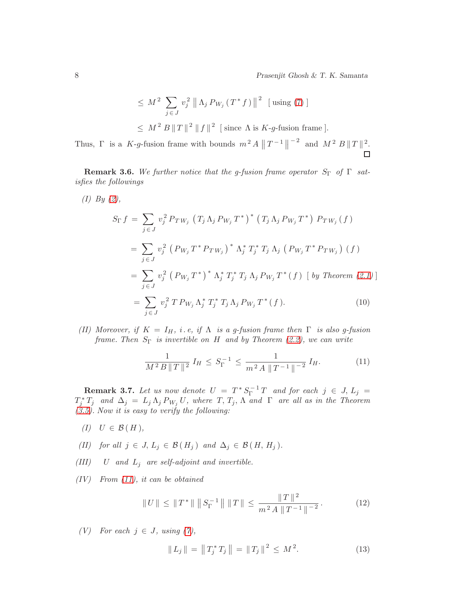$$
\leq M^2 \sum_{j \in J} v_j^2 \left\| \Lambda_j P_{W_j} (T^* f) \right\|^2 \text{ [using (7)]}
$$
  

$$
\leq M^2 B \|T\|^2 \|f\|^2 \text{ [since } \Lambda \text{ is } K \text{-}g\text{-fusion frame]}.
$$

Thus,  $\Gamma$  is a K-g-fusion frame with bounds  $m^2 A \|T^{-1}\|$  $-2$  and  $M^2 B ||T||^2$ .

**Remark 3.6.** We further notice that the g-fusion frame operator  $S_{\Gamma}$  of  $\Gamma$  sat*isfies the followings*

$$
(I) By (2),
$$
\n
$$
S_{\Gamma} f = \sum_{j \in J} v_j^2 P_{TW_j} (T_j \Lambda_j P_{W_j} T^*)^* (T_j \Lambda_j P_{W_j} T^*) P_{TW_j} (f)
$$
\n
$$
= \sum_{j \in J} v_j^2 (P_{W_j} T^* P_{TW_j})^* \Lambda_j^* T_j^* T_j \Lambda_j (P_{W_j} T^* P_{TW_j}) (f)
$$
\n
$$
= \sum_{j \in J} v_j^2 (P_{W_j} T^*)^* \Lambda_j^* T_j^* T_j \Lambda_j P_{W_j} T^* (f) [by Theorem (2.1)]
$$
\n
$$
= \sum_{j \in J} v_j^2 T P_{W_j} \Lambda_j^* T_j^* T_j \Lambda_j P_{W_j} T^* (f).
$$
\n
$$
(10)
$$

*(II)* Moreover, if  $K = I_H$ , i.e, if  $\Lambda$  is a g-fusion frame then  $\Gamma$  is also g-fusion *frame. Then* SΓ *is invertible on* H *and by Theorem [\(2.2\)](#page-1-0), we can write*

<span id="page-7-3"></span><span id="page-7-0"></span>
$$
\frac{1}{M^2 B \|T\|^2} I_H \le S_\Gamma^{-1} \le \frac{1}{m^2 A \|T^{-1}\|^{-2}} I_H. \tag{11}
$$

**Remark 3.7.** Let us now denote  $U = T^* S_{\Gamma}^{-1} T$  and for each  $j \in J$ ,  $L_j =$  $T_j^* T_j$  and  $\Delta_j = L_j \Lambda_j P_{W_j} U$ , where  $T, T_j, \Lambda$  and  $\Gamma$  are all as in the Theorem *[\(3.5\)](#page-6-3). Now it is easy to verify the following:*

- $(I)$   $U \in \mathcal{B}(H)$ ,
- *(II)* for all  $j \in J$ ,  $L_j \in \mathcal{B}(H_j)$  and  $\Delta_j \in \mathcal{B}(H, H_j)$ .
- $(III)$  U *and*  $L_i$  *are self-adjoint and invertible.*
- *(IV) From [\(11\)](#page-7-0), it can be obtained*

<span id="page-7-2"></span>
$$
||U|| \le ||T^*|| \, ||S_{\Gamma}^{-1}|| \, ||T|| \le \frac{||T||^2}{m^2 A ||T^{-1}||^{-2}}.
$$
 (12)

*(V)* For each  $j \in J$ , using [\(7\)](#page-6-1),

<span id="page-7-1"></span>
$$
\|L_j\| = \|T_j^* T_j\| = \|T_j\|^2 \le M^2. \tag{13}
$$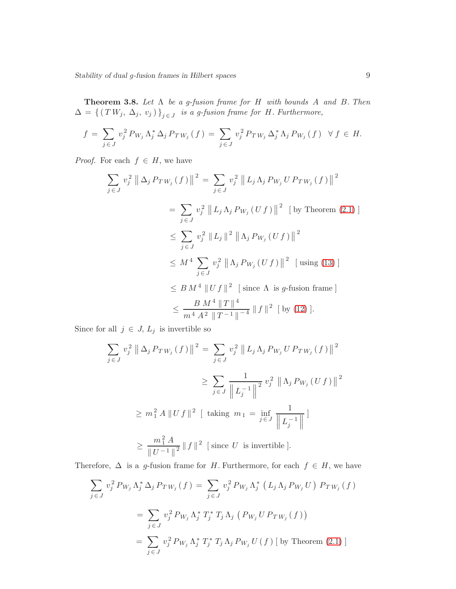Theorem 3.8. *Let* Λ *be a g-fusion frame for* H *with bounds* A *and* B*. Then*  $\Delta = \{ (TW_j, \Delta_j, v_j) \}_{j \in J}$  is a g-fusion frame for H. Furthermore,

$$
f = \sum_{j \in J} v_j^2 P_{W_j} \Lambda_j^* \Delta_j P_{TW_j}(f) = \sum_{j \in J} v_j^2 P_{TW_j} \Delta_j^* \Lambda_j P_{W_j}(f) \quad \forall f \in H.
$$

*Proof.* For each  $f \in H$ , we have

$$
\sum_{j \in J} v_j^2 \left\| \Delta_j P_{TW_j}(f) \right\|^2 = \sum_{j \in J} v_j^2 \left\| L_j \Lambda_j P_{W_j} U P_{TW_j}(f) \right\|^2
$$
  
\n
$$
= \sum_{j \in J} v_j^2 \left\| L_j \Lambda_j P_{W_j}(Uf) \right\|^2 \text{ [by Theorem (2.1)]}
$$
  
\n
$$
\leq \sum_{j \in J} v_j^2 \left\| L_j \right\|^2 \left\| \Lambda_j P_{W_j}(Uf) \right\|^2
$$
  
\n
$$
\leq M^4 \sum_{j \in J} v_j^2 \left\| \Lambda_j P_{W_j}(Uf) \right\|^2 \text{ [using (13)]}
$$
  
\n
$$
\leq B M^4 \left\| Uf \right\|^2 \text{ [since } \Lambda \text{ is } g\text{-fusion frame]}
$$
  
\n
$$
\leq \frac{B M^4 \left\| T \right\|^4}{m^4 A^2 \left\| T^{-1} \right\|^ {-4}} \left\| f \right\|^2 \text{ [by (12)].}
$$

Since for all  $j \in J$ ,  $L_j$  is invertible so

$$
\sum_{j \in J} v_j^2 \|\Delta_j P_{TW_j}(f)\|^2 = \sum_{j \in J} v_j^2 \|L_j \Lambda_j P_{W_j} U P_{TW_j}(f)\|^2
$$
  
\n
$$
\geq \sum_{j \in J} \frac{1}{\|L_j^{-1}\|^2} v_j^2 \|\Lambda_j P_{W_j}(Uf)\|^2
$$
  
\n
$$
\geq m_1^2 A \|Uf\|^2 \text{ [ taking } m_1 = \inf_{j \in J} \frac{1}{\|L_j^{-1}\|}\text{]}
$$
  
\n
$$
\geq \frac{m_1^2 A}{\|U^{-1}\|^2} \|f\|^2 \text{ [ since } U \text{ is invertible }].
$$

Therefore,  $\Delta$  is a g-fusion frame for H. Furthermore, for each  $f \in H$ , we have

$$
\sum_{j \in J} v_j^2 P_{W_j} \Lambda_j^* \Delta_j P_{TW_j}(f) = \sum_{j \in J} v_j^2 P_{W_j} \Lambda_j^* (L_j \Lambda_j P_{W_j} U) P_{TW_j}(f)
$$
  

$$
= \sum_{j \in J} v_j^2 P_{W_j} \Lambda_j^* T_j^* T_j \Lambda_j (P_{W_j} U P_{TW_j}(f))
$$
  

$$
= \sum_{j \in J} v_j^2 P_{W_j} \Lambda_j^* T_j^* T_j \Lambda_j P_{W_j} U(f) [by Theorem (2.1)]
$$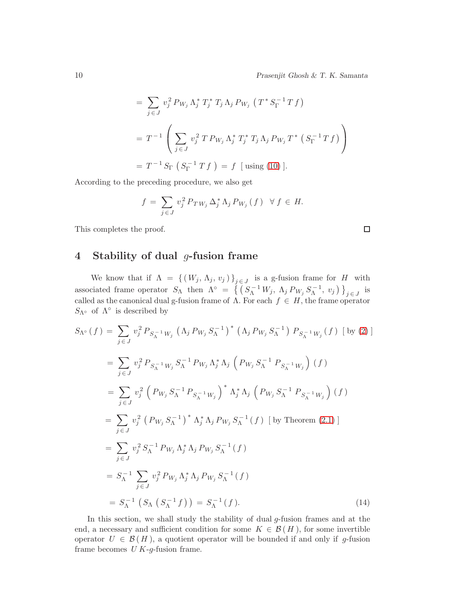$\Box$ 

$$
= \sum_{j \in J} v_j^2 P_{W_j} \Lambda_j^* T_j^* T_j \Lambda_j P_{W_j} (T^* S_{\Gamma}^{-1} T f)
$$
  

$$
= T^{-1} \left( \sum_{j \in J} v_j^2 T P_{W_j} \Lambda_j^* T_j^* T_j \Lambda_j P_{W_j} T^* (S_{\Gamma}^{-1} T f) \right)
$$
  

$$
= T^{-1} S_{\Gamma} (S_{\Gamma}^{-1} T f) = f \text{ [using (10)].}
$$

According to the preceding procedure, we also get

$$
f = \sum_{j \in J} v_j^2 P_{TW_j} \Delta_j^* \Lambda_j P_{W_j}(f) \quad \forall f \in H.
$$

This completes the proof.

# 4 Stability of dual g-fusion frame

We know that if  $\Lambda = \{ (W_j, \Lambda_j, v_j) \}_{j \in J}$  is a g-fusion frame for H with associated frame operator  $S_{\Lambda}$  then  $\Lambda^{\circ} = \left\{ \left( S_{\Lambda}^{-1} W_j, \Lambda_j P_{W_j} S_{\Lambda}^{-1}, v_j \right) \right\}_{j \in J}$  is called as the canonical dual g-fusion frame of  $\Lambda$ . For each  $f \in H$ , the frame operator S<sub>Λ</sub>∘ of  $\Lambda$ <sup>°</sup> is described by

$$
S_{\Lambda^{\circ}}(f) = \sum_{j \in J} v_{j}^{2} P_{S_{\Lambda}^{-1}W_{j}} (\Lambda_{j} P_{W_{j}} S_{\Lambda}^{-1})^{*} (\Lambda_{j} P_{W_{j}} S_{\Lambda}^{-1}) P_{S_{\Lambda}^{-1}W_{j}}(f) [by (2)]
$$
  
\n
$$
= \sum_{j \in J} v_{j}^{2} P_{S_{\Lambda}^{-1}W_{j}} S_{\Lambda}^{-1} P_{W_{j}} \Lambda_{j}^{*} \Lambda_{j} (P_{W_{j}} S_{\Lambda}^{-1} P_{S_{\Lambda}^{-1}W_{j}}) (f)
$$
  
\n
$$
= \sum_{j \in J} v_{j}^{2} (P_{W_{j}} S_{\Lambda}^{-1} P_{S_{\Lambda}^{-1}W_{j}})^{*} \Lambda_{j}^{*} \Lambda_{j} (P_{W_{j}} S_{\Lambda}^{-1} P_{S_{\Lambda}^{-1}W_{j}}) (f)
$$
  
\n
$$
= \sum_{j \in J} v_{j}^{2} (P_{W_{j}} S_{\Lambda}^{-1})^{*} \Lambda_{j}^{*} \Lambda_{j} P_{W_{j}} S_{\Lambda}^{-1} (f) [by Theorem (2.1)]
$$
  
\n
$$
= \sum_{j \in J} v_{j}^{2} S_{\Lambda}^{-1} P_{W_{j}} \Lambda_{j}^{*} \Lambda_{j} P_{W_{j}} S_{\Lambda}^{-1} (f)
$$
  
\n
$$
= S_{\Lambda}^{-1} \sum_{j \in J} v_{j}^{2} P_{W_{j}} \Lambda_{j}^{*} \Lambda_{j} P_{W_{j}} S_{\Lambda}^{-1} (f)
$$
  
\n
$$
= S_{\Lambda}^{-1} (S_{\Lambda} (S_{\Lambda}^{-1} f)) = S_{\Lambda}^{-1} (f).
$$
 (14)

<span id="page-9-0"></span>In this section, we shall study the stability of dual g-fusion frames and at the end, a necessary and sufficient condition for some  $K \in \mathcal{B}(H)$ , for some invertible operator  $U \in \mathcal{B}(H)$ , a quotient operator will be bounded if and only if g-fusion frame becomes  $U K$ -g-fusion frame.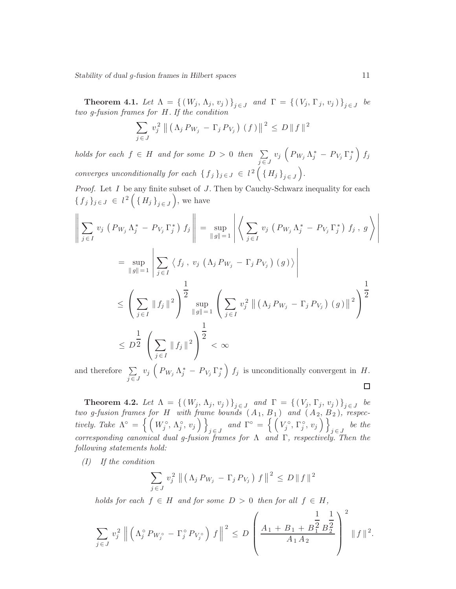<span id="page-10-0"></span>**Theorem 4.1.** *Let*  $\Lambda = \{ (W_j, \Lambda_j, v_j) \}_{j \in J}$  and  $\Gamma = \{ (V_j, \Gamma_j, v_j) \}_{j \in J}$  be *two g-fusion frames for* H*. If the condition*

$$
\sum_{j \in J} v_j^2 \| \left( \Lambda_j P_{W_j} - \Gamma_j P_{V_j} \right) (f) \|^2 \le D \| f \|^2
$$

*holds for each*  $f \in H$  *and for some*  $D > 0$  *then*  $\sum_{j \in J}$  $v_j\,\left(\,P_{\,W_j}\,\Lambda^{\,\ast}_j\,-\,P_{\,V_j}\,\Gamma^{\,\ast}_j\,\right)\,f_j$ *converges unconditionally for each*  $\{f_j\}_{j\in J} \in I^2\left(\{H_j\}_{j\in J}\right)$ .

*Proof.* Let I be any finite subset of J. Then by Cauchy-Schwarz inequality for each  $\{\,f_{\,j}\,\}_{j \,\in\, J} \,\in\, l^{\,2}\left(\,\left\{\,H_{j}\,\right\}_{j \,\in\, J}\,\right),\,\text{we have}$ 

$$
\left\| \sum_{j \in I} v_j \left( P_{W_j} \Lambda_j^* - P_{V_j} \Gamma_j^* \right) f_j \right\| = \sup_{\|g\|=1} \left| \left\langle \sum_{j \in I} v_j \left( P_{W_j} \Lambda_j^* - P_{V_j} \Gamma_j^* \right) f_j, g \right\rangle \right|
$$
  
\n
$$
= \sup_{\|g\|=1} \left| \sum_{j \in I} \left\langle f_j, v_j \left( \Lambda_j P_{W_j} - \Gamma_j P_{V_j} \right) (g) \right\rangle \right|
$$
  
\n
$$
\leq \left( \sum_{j \in I} \|f_j\|^2 \right)^{\frac{1}{2}} \sup_{\|g\|=1} \left( \sum_{j \in I} v_j^2 \left\| \left( \Lambda_j P_{W_j} - \Gamma_j P_{V_j} \right) (g) \right\|^2 \right)^{\frac{1}{2}}
$$
  
\n
$$
\leq D^{\frac{1}{2}} \left( \sum_{j \in I} \|f_j\|^2 \right)^{\frac{1}{2}} < \infty
$$

 $v_j \left( P_{W_j} \Lambda_j^* - P_{V_j} \Gamma_j^* \right) f_j$  is unconditionally convergent in H. and therefore  $\Sigma$  $j \in J$ □

**Theorem 4.2.** Let  $\Lambda = \{ (W_j, \Lambda_j, v_j) \}_{j \in J}$  and  $\Gamma = \{ (V_j, \Gamma_j, v_j) \}_{j \in J}$  be *two g-fusion frames for H with frame bounds*  $(A_1, B_1)$  and  $(A_2, B_2)$ , respec*tively. Take*  $\Lambda^{\circ} = \left\{ \left( W_j^{\circ}, \Lambda_j^{\circ}, v_j \right) \right\}$  $j \in J$  and  $\Gamma^{\circ} = \left\{ \left( V_j^{\circ}, \Gamma_j^{\circ}, v_j \right) \right\}$  $j \in J$  *be the corresponding canonical dual g-fusion frames for* Λ *and* Γ*, respectively. Then the following statements hold:*

*(I) If the condition*

$$
\sum_{j \in J} v_j^2 \| \left( \Lambda_j P_{W_j} - \Gamma_j P_{V_j} \right) f \|^2 \le D \| f \|^2
$$

*holds for each*  $f \in H$  *and for some*  $D > 0$  *then for all*  $f \in H$ *,* 

$$
\sum_{j\in J} v_j^2 \left\| \left( \Lambda_j^{\circ} P_{W_j^{\circ}} - \Gamma_j^{\circ} P_{V_j^{\circ}} \right) f \right\|^2 \le D \left( \frac{A_1 + B_1 + B_1^2}{A_1 A_2} B_2^2 \right)^2 \| f \|^2.
$$

 $\overline{\phantom{a}}$  $\overline{\phantom{a}}$ I  $\overline{\phantom{a}}$  $\mid$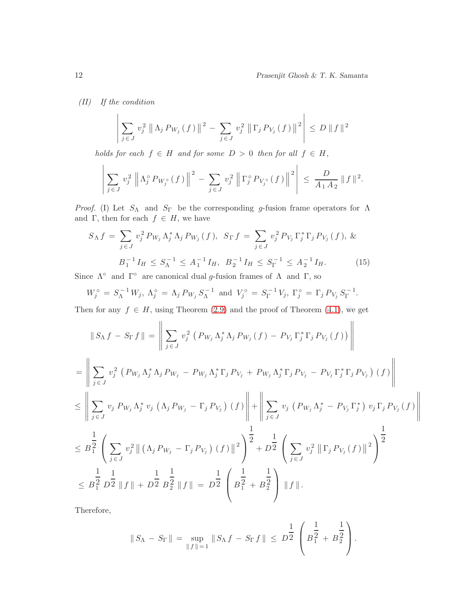*(II) If the condition*

$$
\left| \sum_{j \in J} v_j^2 \left\| \Lambda_j P_{W_j}(f) \right\|^2 - \sum_{j \in J} v_j^2 \left\| \Gamma_j P_{V_j}(f) \right\|^2 \right| \le D \, \|f\|^2
$$

*holds for each*  $f \in H$  *and for some*  $D > 0$  *then for all*  $f \in H$ *,* 

$$
\left|\sum_{j\in J} v_j^2 \left\|\Lambda_j^{\circ} P_{W_j^{\circ}}(f)\right\|^2 - \sum_{j\in J} v_j^2 \left\|\Gamma_j^{\circ} P_{V_j^{\circ}}(f)\right\|^2\right| \le \frac{D}{A_1 A_2} \|f\|^2.
$$

*Proof.* (I) Let  $S_{\Lambda}$  and  $S_{\Gamma}$  be the corresponding g-fusion frame operators for  $\Lambda$ and Γ, then for each  $f \in H$ , we have

<span id="page-11-0"></span>
$$
S_{\Lambda} f = \sum_{j \in J} v_j^2 P_{W_j} \Lambda_j^* \Lambda_j P_{W_j}(f), \ S_{\Gamma} f = \sum_{j \in J} v_j^2 P_{V_j} \Gamma_j^* \Gamma_j P_{V_j}(f), \ \&
$$

$$
B_1^{-1} I_H \le S_{\Lambda}^{-1} \le A_1^{-1} I_H, \ B_2^{-1} I_H \le S_{\Gamma}^{-1} \le A_2^{-1} I_H. \tag{15}
$$

Since  $\Lambda^{\circ}$  and  $\Gamma^{\circ}$  are canonical dual g-fusion frames of  $\Lambda$  and  $\Gamma$ , so

$$
W_j^{\circ} = S_{\Lambda}^{-1} W_j, \ \Lambda_j^{\circ} = \Lambda_j P_{W_j} S_{\Lambda}^{-1} \ \text{and} \ V_j^{\circ} = S_{\Gamma}^{-1} V_j, \ \Gamma_j^{\circ} = \Gamma_j P_{V_j} S_{\Gamma}^{-1}.
$$

Then for any  $f \in H$ , using Theorem [\(2.9\)](#page-3-1) and the proof of Theorem [\(4.1\)](#page-10-0), we get

$$
\|S_{\Lambda}f - S_{\Gamma}f\| = \left\|\sum_{j\in J} v_j^2 \left(P_{W_j}\Lambda_j^* \Lambda_j P_{W_j}(f) - P_{V_j}\Gamma_j^* \Gamma_j P_{V_j}(f)\right)\right\| \n= \left\|\sum_{j\in J} v_j^2 \left(P_{W_j}\Lambda_j^* \Lambda_j P_{W_j} - P_{W_j}\Lambda_j^* \Gamma_j P_{V_j} + P_{W_j}\Lambda_j^* \Gamma_j P_{V_j} - P_{V_j}\Gamma_j^* \Gamma_j P_{V_j}\right)(f)\right\| \n\leq \left\|\sum_{j\in J} v_j P_{W_j}\Lambda_j^* v_j \left(\Lambda_j P_{W_j} - \Gamma_j P_{V_j}\right)(f)\right\| + \left\|\sum_{j\in J} v_j \left(P_{W_j}\Lambda_j^* - P_{V_j}\Gamma_j^*\right) v_j \Gamma_j P_{V_j}(f)\right\| \n\leq B_1^{\frac{1}{2}} \left(\sum_{j\in J} v_j^2 \left\|\left(\Lambda_j P_{W_j} - \Gamma_j P_{V_j}\right)(f)\right\|^2\right)^{\frac{1}{2}} + D^{\frac{1}{2}} \left(\sum_{j\in J} v_j^2 \left\|\Gamma_j P_{V_j}(f)\right\|^2\right)^{\frac{1}{2}} \n\leq B_1^{\frac{1}{2}} D^{\frac{1}{2}} \|f\| + D^{\frac{1}{2}} B_2^{\frac{1}{2}} \|f\| = D^{\frac{1}{2}} \left(B_1^{\frac{1}{2}} + B_2^{\frac{1}{2}}\right) \|f\|.
$$

Therefore,

$$
|| S_{\Lambda} - S_{\Gamma} || = \sup_{|| f || = 1} || S_{\Lambda} f - S_{\Gamma} f || \leq D^{\frac{1}{2}} \left( B^{\frac{1}{2}}_1 + B^{\frac{1}{2}}_2 \right).
$$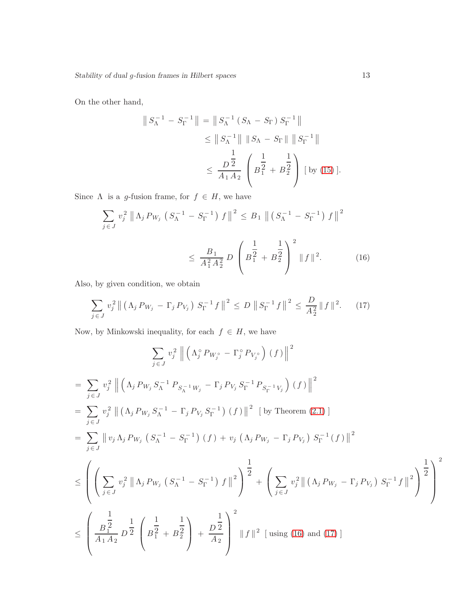On the other hand,

$$
\|S_{\Lambda}^{-1} - S_{\Gamma}^{-1}\| = \|S_{\Lambda}^{-1} (S_{\Lambda} - S_{\Gamma}) S_{\Gamma}^{-1}\|
$$
  
\n
$$
\leq \|S_{\Lambda}^{-1}\| \|S_{\Lambda} - S_{\Gamma}\| \|S_{\Gamma}^{-1}\|
$$
  
\n
$$
\leq \frac{D^{\frac{1}{2}}}{A_1 A_2} \left(B_{1}^{\frac{1}{2}} + B_{2}^{\frac{1}{2}}\right) [\text{ by (15)}].
$$

Since  $\Lambda$  is a g-fusion frame, for  $f \in H$ , we have

<span id="page-12-0"></span>
$$
\sum_{j \in J} v_j^2 \left\| \Lambda_j P_{W_j} \left( S_{\Lambda}^{-1} - S_{\Gamma}^{-1} \right) f \right\|^2 \le B_1 \left\| \left( S_{\Lambda}^{-1} - S_{\Gamma}^{-1} \right) f \right\|^2
$$
  

$$
\le \frac{B_1}{A_1^2 A_2^2} D \left( B_1^{\frac{1}{2}} + B_2^{\frac{1}{2}} \right)^2 \left\| f \right\|^2. \tag{16}
$$

Also, by given condition, we obtain

<span id="page-12-1"></span>
$$
\sum_{j \in J} v_j^2 \left\| \left( \Lambda_j P_{W_j} - \Gamma_j P_{V_j} \right) S_{\Gamma}^{-1} f \right\|^2 \le D \left\| S_{\Gamma}^{-1} f \right\|^2 \le \frac{D}{A_2^2} \| f \|^2. \tag{17}
$$

Now, by Minkowski inequality, for each  $f \in H$ , we have

$$
\sum_{j \in J} v_j^2 \left\| \left( \Lambda_j^{\circ} P_{W_j^{\circ}} - \Gamma_j^{\circ} P_{V_j^{\circ}} \right) (f) \right\|^2
$$
\n
$$
= \sum_{j \in J} v_j^2 \left\| \left( \Lambda_j P_{W_j} S_{\Lambda}^{-1} P_{S_{\Lambda}^{-1} W_j} - \Gamma_j P_{V_j} S_{\Gamma}^{-1} P_{S_{\Gamma}^{-1} V_j} \right) (f) \right\|^2
$$
\n
$$
= \sum_{j \in J} v_j^2 \left\| \left( \Lambda_j P_{W_j} S_{\Lambda}^{-1} - \Gamma_j P_{V_j} S_{\Gamma}^{-1} \right) (f) \right\|^2 \left[ \text{ by Theorem (2.1)} \right]
$$
\n
$$
= \sum_{j \in J} \left\| v_j \Lambda_j P_{W_j} \left( S_{\Lambda}^{-1} - S_{\Gamma}^{-1} \right) (f) + v_j \left( \Lambda_j P_{W_j} - \Gamma_j P_{V_j} \right) S_{\Gamma}^{-1} (f) \right\|^2
$$
\n
$$
\leq \left( \left( \sum_{j \in J} v_j^2 \left\| \Lambda_j P_{W_j} \left( S_{\Lambda}^{-1} - S_{\Gamma}^{-1} \right) f \right\|^2 \right)^{\frac{1}{2}} + \left( \sum_{j \in J} v_j^2 \left\| \left( \Lambda_j P_{W_j} - \Gamma_j P_{V_j} \right) S_{\Gamma}^{-1} f \right\|^2 \right)^{\frac{1}{2}} \right)^2
$$
\n
$$
\leq \left( \frac{\frac{1}{B_1^2}}{\frac{B_1^2}{A_1 A_2}} D^{\frac{1}{2}} \left( \frac{1}{B_1^2 + B_2^2} + \frac{1}{B_2^2} \right) + \frac{1}{B_2^2} \right)^2 \left\| f \right\|^2 \left[ \text{ using (16) and (17)} \right]
$$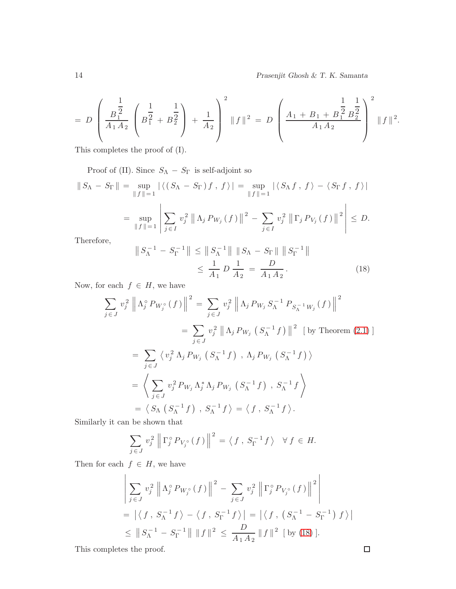$$
= D \left( \frac{B_1^{\frac{1}{2}}}{A_1 A_2} \left( B_1^{\frac{1}{2}} + B_2^{\frac{1}{2}} \right) + \frac{1}{A_2} \right)^2 \|f\|^2 = D \left( \frac{A_1 + B_1 + B_1^{\frac{1}{2}} B_2^{\frac{1}{2}}}{A_1 A_2} \right)^2 \|f\|^2.
$$

This completes the proof of (I).

Proof of (II). Since  $S_{\Lambda}$  –  $S_{\Gamma}$  is self-adjoint so

$$
\|S_{\Lambda} - S_{\Gamma}\| = \sup_{\|f\|=1} |\langle (S_{\Lambda} - S_{\Gamma})f, f \rangle| = \sup_{\|f\|=1} |\langle S_{\Lambda}f, f \rangle - \langle S_{\Gamma}f, f \rangle|
$$
  

$$
= \sup_{\|f\|=1} \left| \sum_{j \in I} v_j^2 \left\| \Lambda_j P_{W_j}(f) \right\|^2 - \sum_{j \in I} v_j^2 \left\| \Gamma_j P_{V_j}(f) \right\|^2 \right| \le D.
$$

Therefore,

<span id="page-13-0"></span>
$$
\|S_{\Lambda}^{-1} - S_{\Gamma}^{-1}\| \le \|S_{\Lambda}^{-1}\| \|S_{\Lambda} - S_{\Gamma}\| \|S_{\Gamma}^{-1}\|
$$
  

$$
\le \frac{1}{A_1} D \frac{1}{A_2} = \frac{D}{A_1 A_2}.
$$
 (18)

Now, for each  $f \in H$ , we have

$$
\sum_{j \in J} v_j^2 \left\| \Lambda_j^{\circ} P_{W_j^{\circ}}(f) \right\|^2 = \sum_{j \in J} v_j^2 \left\| \Lambda_j P_{W_j} S_{\Lambda}^{-1} P_{S_{\Lambda}^{-1} W_j}(f) \right\|^2
$$
  
\n
$$
= \sum_{j \in J} v_j^2 \left\| \Lambda_j P_{W_j} \left( S_{\Lambda}^{-1} f \right) \right\|^2 \left[ \text{ by Theorem (2.1)} \right]
$$
  
\n
$$
= \sum_{j \in J} \left\langle v_j^2 \Lambda_j P_{W_j} \left( S_{\Lambda}^{-1} f \right) , \Lambda_j P_{W_j} \left( S_{\Lambda}^{-1} f \right) \right\rangle
$$
  
\n
$$
= \left\langle \sum_{j \in J} v_j^2 P_{W_j} \Lambda_j^* \Lambda_j P_{W_j} \left( S_{\Lambda}^{-1} f \right) , S_{\Lambda}^{-1} f \right\rangle
$$
  
\n
$$
= \left\langle S_{\Lambda} \left( S_{\Lambda}^{-1} f \right) , S_{\Lambda}^{-1} f \right\rangle = \left\langle f , S_{\Lambda}^{-1} f \right\rangle.
$$

Similarly it can be shown that

$$
\sum_{j \in J} v_j^2 \left\| \Gamma_j^{\circ} P_{V_j^{\circ}}(f) \right\|^2 = \left\langle f, S_{\Gamma}^{-1} f \right\rangle \quad \forall f \in H.
$$

Then for each  $f \in H$ , we have

$$
\left| \sum_{j \in J} v_j^2 \left\| \Lambda_j^{\circ} P_{W_j^{\circ}}(f) \right\|^2 - \sum_{j \in J} v_j^2 \left\| \Gamma_j^{\circ} P_{V_j^{\circ}}(f) \right\|^2 \right|
$$
  
=  $|\langle f, S_{\Lambda}^{-1} f \rangle - \langle f, S_{\Gamma}^{-1} f \rangle| = |\langle f, (S_{\Lambda}^{-1} - S_{\Gamma}^{-1}) f \rangle|$   
 $\leq \| S_{\Lambda}^{-1} - S_{\Gamma}^{-1} \| \| f \|^2 \leq \frac{D}{A_1 A_2} \| f \|^2$  [by (18)].

This completes the proof.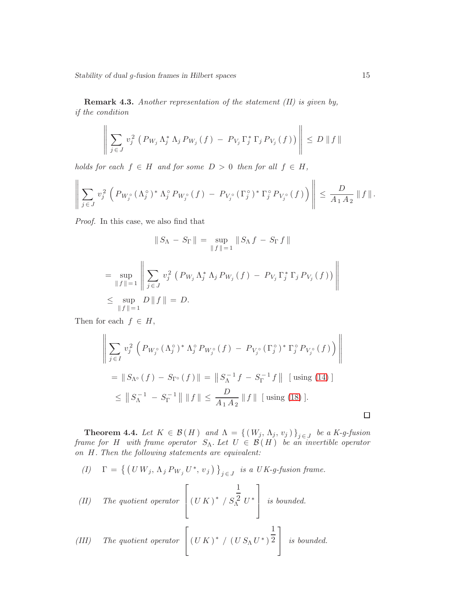Remark 4.3. *Another representation of the statement (II) is given by, if the condition*

$$
\left\| \sum_{j \in J} v_j^2 \left( P_{W_j} \Lambda_j^* \Lambda_j P_{W_j} (f) - P_{V_j} \Gamma_j^* \Gamma_j P_{V_j} (f) \right) \right\| \le D \, \|f\|
$$

*holds for each*  $f \in H$  *and for some*  $D > 0$  *then for all*  $f \in H$ *,* 

$$
\left\| \sum_{j \in J} v_j^2 \left( P_{W_j^{\circ}} (\Lambda_j^{\circ})^* \Lambda_j^{\circ} P_{W_j^{\circ}} (f) - P_{V_j^{\circ}} (\Gamma_j^{\circ})^* \Gamma_j^{\circ} P_{V_j^{\circ}} (f) \right) \right\| \leq \frac{D}{A_1 A_2} \| f \|.
$$

*Proof.* In this case, we also find that

$$
\|S_{\Lambda} - S_{\Gamma}\| = \sup_{\|f\|=1} \|S_{\Lambda} f - S_{\Gamma} f\|
$$
  
= 
$$
\sup_{\|f\|=1} \left\| \sum_{j \in J} v_j^2 (P_{W_j} \Lambda_j^* \Lambda_j P_{W_j} (f) - P_{V_j} \Gamma_j^* \Gamma_j P_{V_j} (f)) \right\|
$$
  

$$
\leq \sup_{\|f\|=1} D \|f\| = D.
$$

Then for each  $f \in H$ ,

$$
\left\| \sum_{j \in I} v_j^2 \left( P_{W_j^\circ} (\Lambda_j^\circ)^* \Lambda_j^\circ P_{W_j^\circ} (f) - P_{V_j^\circ} (\Gamma_j^\circ)^* \Gamma_j^\circ P_{V_j^\circ} (f) \right) \right\|
$$
  
\n
$$
= \| S_{\Lambda^\circ} (f) - S_{\Gamma^\circ} (f) \| = \| S_{\Lambda}^{-1} f - S_{\Gamma}^{-1} f \| \text{ [using (14)]}
$$
  
\n
$$
\leq \| S_{\Lambda}^{-1} - S_{\Gamma}^{-1} \| \| f \| \leq \frac{D}{A_1 A_2} \| f \| \text{ [using (18)].}
$$

**Theorem 4.4.** Let  $K \in \mathcal{B}(H)$  and  $\Lambda = \{ (W_j, \Lambda_j, v_j) \}_{j \in J}$  be a K-g-fusion *frame for* H *with frame operator*  $S_{\Lambda}$ *. Let*  $U \in \mathcal{B}(H)$  *be an invertible operator on* H*. Then the following statements are equivalent:*

$$
(I) \quad \Gamma = \left\{ \left( U W_j, \Lambda_j P_{W_j} U^*, v_j \right) \right\}_{j \in J} \text{ is a } UK \text{-}g\text{-}fusion frame.
$$

(II) The quotient operator 
$$
\left[ (U K)^* / S_{\Lambda}^{\frac{1}{2}} U^* \right]
$$
 is bounded.

(III) The quotient operator 
$$
\left[ (U K)^* / (U S_\Lambda U^*)^{\frac{1}{2}} \right]
$$
 is bounded.

 $\Box$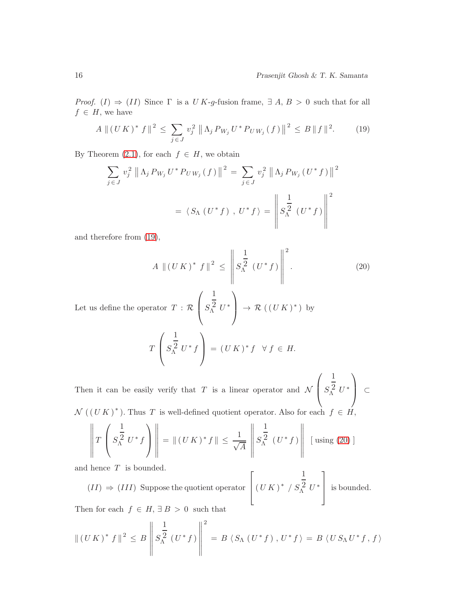*Proof.* (I)  $\Rightarrow$  (II) Since  $\Gamma$  is a U K-g-fusion frame,  $\exists A, B > 0$  such that for all  $f \in H$ , we have

<span id="page-15-0"></span>
$$
A \| (U K)^* f \|^2 \le \sum_{j \in J} v_j^2 \| \Lambda_j P_{W_j} U^* P_{U W_j} (f) \|^2 \le B \| f \|^2. \tag{19}
$$

By Theorem [\(2.1\)](#page-1-1), for each  $f \in H$ , we obtain

$$
\sum_{j \in J} v_j^2 \| \Lambda_j P_{W_j} U^* P_{U W_j} (f) \|^2 = \sum_{j \in J} v_j^2 \| \Lambda_j P_{W_j} (U^* f) \|^2
$$
  
=  $\langle S_\Lambda (U^* f), U^* f \rangle = \left\| S_\Lambda^{\frac{1}{2}} (U^* f) \right\|^2$ 

and therefore from [\(19\)](#page-15-0),

<span id="page-15-1"></span>
$$
A \| (UK)^* f \|^2 \leq \left\| S_{\Lambda}^{\frac{1}{2}} (U^* f) \right\|^2.
$$
 (20)

Let us define the operator  $T : \mathcal{R}$  $\sqrt{ }$  $\vert S$ 1  $^2_V^2$  $\setminus$  $\Big\} \rightarrow \mathcal{R}((UK)^*)$  by

$$
T\left(S_{\Lambda}^{\frac{1}{2}} U^* f\right) = (UK)^* f \ \forall f \in H.
$$

Then it can be easily verify that  $T$  is a linear operator and  $\mathcal N$  $\sqrt{ }$  $\vert s \vert$ 1  $^2_V^2$  $\setminus$  <sup>⊂</sup>  $\mathcal{N}((UK)^*)$ . Thus T is well-defined quotient operator. Also for each  $f \in \hat{H}$ ,

$$
\left\| T\left(S_{\Lambda}^{\frac{1}{2}} U^* f\right) \right\| = \left\| (U K)^* f \right\| \le \frac{1}{\sqrt{A}} \left\| S_{\Lambda}^{\frac{1}{2}} \left( U^* f \right) \right\| \left[ \text{ using (20)} \right]
$$

and hence  $T$  is bounded.

$$
(II) \Rightarrow (III)
$$
 Suppose the quotient operator  $\left[ (UK)^* / S_{\Lambda}^2 U^* \right]$  is bounded.

Then for each  $f \in H$ ,  $\exists B > 0$  such that

$$
\| (U K)^* f \|^2 \leq B \left\| S_{\Lambda}^{\frac{1}{2}} (U^* f) \right\|^2 = B \left\langle S_{\Lambda} (U^* f) , U^* f \right\rangle = B \left\langle U S_{\Lambda} U^* f, f \right\rangle
$$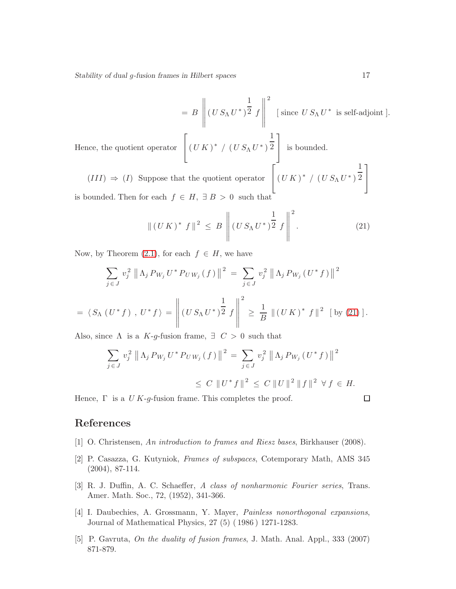$$
= B \left\| (US_{\Lambda}U^*)^{\frac{1}{2}} f \right\|^2 \text{ [ since } US_{\Lambda}U^* \text{ is self-adjoint }].
$$
  
Hence, the quotient operator  $\left[ (UK)^* / (US_{\Lambda}U^*)^{\frac{1}{2}} \right]$  is bounded.  

$$
(III) \Rightarrow (I) \text{ Suppose that the quotient operator } \left[ (UK)^* / (US_{\Lambda}U^*)^{\frac{1}{2}} \right]
$$

is bounded. Then for each  $f \in H$ ,  $\exists B > 0$  such that

<span id="page-16-5"></span>
$$
\| (UK)^* f \|^2 \leq B \left\| (US_{\Lambda} U^*)^{\frac{1}{2}} f \right\|^2.
$$
 (21)

Now, by Theorem  $(2.1)$ , for each  $f \in H$ , we have

$$
\sum_{j \in J} v_j^2 \|\Lambda_j P_{W_j} U^* P_{U W_j}(f)\|^2 = \sum_{j \in J} v_j^2 \|\Lambda_j P_{W_j} (U^* f)\|^2
$$
  
=  $\langle S_\Lambda (U^* f), U^* f \rangle = \left\| (U S_\Lambda U^*)^{\frac{1}{2}} f \right\|^2 \ge \frac{1}{B} \|(U K)^* f\|^2$  [by (21)].

Also, since  $\Lambda$  is a K-g-fusion frame,  $\exists C > 0$  such that

$$
\sum_{j \in J} v_j^2 \left\| \Lambda_j P_{W_j} U^* P_{U W_j} (f) \right\|^2 = \sum_{j \in J} v_j^2 \left\| \Lambda_j P_{W_j} (U^* f) \right\|^2
$$
  

$$
\le C \left\| U^* f \right\|^2 \le C \left\| U \right\|^2 \left\| f \right\|^2 \forall f \in H.
$$

Hence,  $\Gamma$  is a U K-g-fusion frame. This completes the proof.

## <span id="page-16-4"></span>References

- <span id="page-16-2"></span>[1] O. Christensen, *An introduction to frames and Riesz bases*, Birkhauser (2008).
- [2] P. Casazza, G. Kutyniok, *Frames of subspaces*, Cotemporary Math, AMS 345 (2004), 87-114.
- <span id="page-16-0"></span>[3] R. J. Duffin, A. C. Schaeffer, *A class of nonharmonic Fourier series*, Trans. Amer. Math. Soc., 72, (1952), 341-366.
- <span id="page-16-1"></span>[4] I. Daubechies, A. Grossmann, Y. Mayer, *Painless nonorthogonal expansions*, Journal of Mathematical Physics, 27 (5) ( 1986 ) 1271-1283.
- <span id="page-16-3"></span>[5] P. Gavruta, *On the duality of fusion frames*, J. Math. Anal. Appl., 333 (2007) 871-879.

 $\Box$